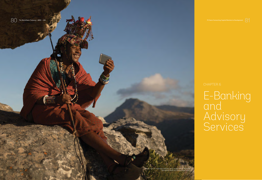

 $80$  The World Bank Treasury | IBRD • IDA



# E-Banking and Advisory Services

Maasai man in traditional clothing using mobile phone. Photo © Wavebreak Media ltd / Alamy Stock Photo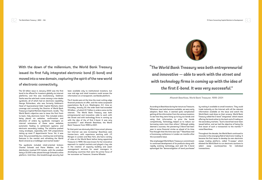83



With the dawn of the millennium, the World Bank Treasury issued its first fully integrated electronic bond (E-bond) and moved into a new domain, capturing the spirit of the new world of electronic connectivity.

The \$3 billion issue in January 2000 was the first bond to be offered for investors globally via internet platforms, and this was revolutionary. Goldman Sachs was the sole book runner among a nine-dealer syndicate, all of which had an electronic capability. George Richardson, who was formerly Goldman's Head of Supranational Debt Capital Markets client coverage and currently the Director of World Bank Treasury's Capital Markets Department, recalls, "The World Bank's objective was to issue the first frontto-back, fully electronic bond. This included orders being placed via websites, confirmation and allocation of orders by syndicate managers on internal extensions of these same websites, automatic feeding to settlement systems and electronic secondary trading. The initiative pushed many envelopes, especially with Y2K preparations taking up most IT departments' focus. Yet, it was done. Very successfully too, creating new and lasting features in the market and refreshing the World Bank's brand as a trailblazer and market leader."

The syndicate included retail-oriented brokers Charles Schwab and Paine Webber, and the distribution involved 570 tickets, with the smallest being a \$1,000 order placed through Schwab's online platform. Until then, this breakthrough security had been available only to institutional investors, but now mid-size and retail investors could access the information on a transparent, worldwide platform.

The E-bonds were at the time the most cutting-edge financial products on offer, and the notes surpassed expectations. By 8 a.m. Washington, D.C. time on Thursday, January 20, the order book had exceeded \$5 billion—of which \$1.7 billion in orders came via the internet. "The World Bank Treasury was both entrepreneurial and innovative—able to work with the Street and with technology firms in coming up with the idea of the of first E-bond. It was very successful,"37 said Afsaneh Beschloss, the World Bank Treasurer from 1999 to 2001.

"At that point we obviously didn't have smart phones, but Internet use was increasing," Beschloss said. Iranian-born, with experience working with J.P. Morgan in London and New York, she had a variety of roles at the World Bank before being appointed Treasurer in 1999. She was known for her innovative approach to capital markets and played a key role in the creation of capacity building and asset management services for asset managers in developing countries that were the prime focus of her successor as Treasurer, Graeme Wheeler.

Afsaneh Beschloss, World Bank Treasurer, 1999–2001

*"The World Bank Treasury was both entrepreneurial and innovative — able to work with the street and with technology firms in coming up with the idea of the first E-bond. It was very successful."* 

According to Beschloss during her tenure as Treasurer, "Whatever new tools became available, we were early adopters. Back then, it seemed quite complicated getting all the information from the various investors to see how they were lining up to buy our bonds and using that information to price the bonds competitively. Technology helped us to reduce our borrowing costs more than others." Although widely deemed a success, the pioneering E-Bond had been seen in some financial circles as ahead of its time. "Few thought that the time was ripe,"38 Beschloss told a Euromoney conference in London six months after the successful issue.

She emphasized World Bank Treasury's commitment to continued development of its products along with rapidly evolving technology and said the E-bond epitomized the "democratization of bond purchases"

82 The World Bank Treasury | IBRD • IDA 70 Years Connecting Capital Markets to Development

by making it available to small investors. They could trade instantly on the Internet with all the relevant information available on the issue and watch the World Bank road show on their screens. World Bank Treasury called the E-bond "integrated," which meant offering the bond online to the back end of trading on the secondary markets. "Such a bond had never been issued before, and we had the objective of being the first issuer of such a transaction to the market,"39 noted Beschloss.

Throughout the decade, the World Bank continued to innovate in the emerging field of electronic trading. It became the first issuer to develop its own electronic swaps trading platform, called "E-swaps," which allowed the World Bank to run electronic auctions to select swap counterparties for individual transactions.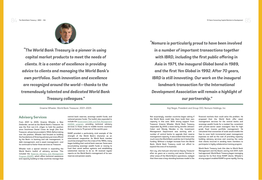85

### **Advisory Services**

From 2001 to 2005, Graeme Wheeler, a New Zealander, served as the World Bank's Treasurer. He was the first non-U.S. citizen to hold the position since Dutchman Daniel Crena de Iongh (the first Treasurer, whose tenure ended in 1952). Before taking over the position, Wheeler had focused on building the foundations of three key advisory services offered by the Bank—in banking and risk management, in debt management, and in asset management—and he continued to foster those services as Treasurer.

Wheeler took a special interest in expanding the World Bank's toolkit of advisory services. This included the [Reserves Advisory and Management](http://treasury.worldbank.org/en/about/unit/treasury/client-services/reserves-advisory-and-management-program)  [Program \(RAMP\),](http://treasury.worldbank.org/en/about/unit/treasury/client-services/reserves-advisory-and-management-program) which offers technical assistance and capacity building to help countries manage their

central bank reserves, sovereign wealth funds, and national pension funds. The toolkit also expanded to include the [Government Debt and Risk Management](http://treasury.worldbank.org/en/about/unit/treasury/client-services/government-debt-risk-management-program)  [\(GDRM\) program,](http://treasury.worldbank.org/en/about/unit/treasury/client-services/government-debt-risk-management-program) providing technical advisory services in those areas to middle-income countries that are home to 75 percent of the world's poor.

RAMP provided a particularly vivid example of the strength of the World Bank's character as an international cooperative. As World Bank member countries emerged from the crises of the 1990s, many began building their central bank reserves. Some were accumulating sovereign wealth funds or moving to fund their social welfare systems and establishing substantial reserves to do so. All received regular reports on the World Bank's management of its own reserves and pension assets.

Not surprisingly, member countries began asking if the World Bank could help them build their own capacity in this area. With strong support from Treasurer Graeme Wheeler, World Bank Treasury responded. By 2000, a team led by Jennifer Johnson-Calari and Wendy Mendes in the Investment Management Department was working with a number of central banks to upgrade their reserve management capacity. It was evident that there was much more the World Bank could do, but it lacked the funding. Without a budget increase from the World Bank, World Bank Treasury could not afford to expand this area of its business.

Ken Lay, who had just returned as Deputy Treasurer after six years as a country and sector Director in other areas of the World Bank's operations, realized that there was a long-standing business model in the

financial markets that could solve the problem. He proposed that the World Bank offer asset management services for the central banks and sovereign wealth funds for a modest fee, consistent with private-sector asset managers' fees for highgrade fixed income portfolio management. He calculated that economies of scale would enable the fees to cover both incremental asset management expenses as well as the cost of providing capacitybuilding advisory services and covering the costs that clients incurred in sending team members to participate in highly collaborative training program.

World Bank Treasury took this idea to World Bank Management and the Board, and by mid-2001, both had approved. World Bank Treasury began managing reserves for its first three RAMP clients. Wheeler's strong support enabled RAMP to grow rapidly. During

Koji Nagai, President and Group CEO, Nomura Holdings, Inc.



Graeme Wheeler, World Bank Treasurer, 2001–2005



*"The World Bank Treasury is a pioneer in using capital market products to meet the needs of clients. It is a center of excellence in providing advice to clients and managing the World Bank's own portfolios. Such innovation and excellence are recognized around the world—thanks to the tremendously talented and dedicated World Bank Treasury colleagues."*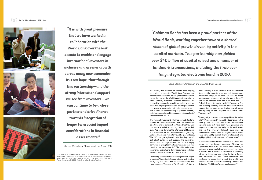

his tenure, the number of clients rose rapidly, generating revenues for World Bank Treasury and economies of scale that actually reduced in nominal terms the cost to the World Bank for its own World Bank Treasury functions. "Finance Ministries are charged to manage large debt portfolios, which are often the largest portfolios in a country and which can generate substantial risk to its balance sheet. I felt it was our responsibility to provide capacitybuilding in sovereign debt management to our clients," Wheeler said in 2017.40

This menu of investment offerings allowed clients to achieve returns consistent with their risk profiles and objectives and to construct portfolios that they may not have the technical capacity to manage on their own. "We could do what the International Monetary Fund (IMF) could not do. The IMF didn't manage money," Calari-Johnson said in an interview. She goes on to say, "The IMF could give high-level advice, but they couldn't talk about building a risk system. And the private sector could manage assets, but it was highly conflicted in giving technical assistance. So that was the niche that we operated in."41 The initiative included internships at the World Bank Treasury and technical workshops in Washington, D.C., and in Paris.

"The organizations were unrecognizable at the end of a RAMP engagement," she said. "Depending on the country, the financial and asset management systems could not have been more primitive and subject to abuse, not internally, but by Wall Street. And by the time we finished, they were as sophisticated as any asset manager on Wall Street. They were highly trained, highly professional and highly sophisticated consumers of the services."44

Developing the commercial advisory services helped transform World Bank Treasury into a self-funding entity. Lay said later it was the achievement he was most proud of. "Because of RAMP, until I left World

Bank Treasury in 2011, revenues more than doubled. It gave us the capacity to put money into some very innovative things,"42 he said. "It was an asset management company within the World Bank,"43 said Calari-Johnson, who was hired from the U.S. Federal Reserve to create the RAMP program. She said building capacity involved partner-to-partner cooperation between those foreign central banks participating in the program and World Bank Treasury staff.

Wheeler ended his term as Treasurer in 2005 and served as the Bank's Managing Director for Operations until 2010. "The World Bank Treasury is a pioneer in using capital markets to meet the needs of clients, and a center of excellence in providing advice to clients and managing the World Bank's own portfolios," he said. "This innovation and excellence is recognized around the world, and achieved, thanks to the tremendously talented and dedicated World Bank Treasury colleagues."45

Marcus Wallenberg, Chairman of the Board, SEB



*"It is with great pleasure that we have worked in collaboration with the World Bank over the last decade to enable and engage international investors in inclusive and greener growth across many new economies. It is our hope, that through this partnership—and the strong interest and support we see from investors—we can continue to be a close partner and drive finance towards integration of longer term social impact considerations in financial assessments."*

(top) Machava BCI Bank Autobank Counter staff. Mozambique. Photo © Eric Miller / World Bank; (center) BCEL Bank. Vientiane, Lao PDR. Photo © Stanislas Fradelizi / World Bank; (bottom) Traders work on the floor of the Ghana Stock Exchange in Accra, Ghana, June 15, 2006. Photo © Jonathan Ernst / World Bank

Lloyd Blankfein, Chariman and CEO, Goldman Sachs

*"Goldman Sachs has been a proud partner of the World Bank, working together toward a shared vision of global growth driven by activity in the capital markets. This partnership has yielded over \$40 billion of capital raised and a number of landmark transactions, including the first-ever fully integrated electronic bond in 2000."*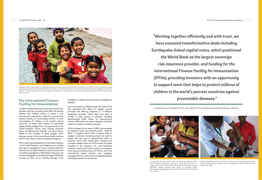89

### **The International Finance Facility for Immunisation**

In 2006, the World Bank partnered with several of its member countries, as well as with GAVI, the Vaccine Alliance and Goldman Sachs, to create a new international organization called the International Finance Facility for Immunisation (IFFIm) to fund immunization of children in the world's poorest countries. Its asset base consists of long-dated, legally binding pledges from nine governments: the United Kingdom, France, Italy, Norway, Australia, Spain, the Netherlands, Sweden, and South Africa. Based on the strength of these pledges, IFFIm borrows money in the international capital markets, which it then uses to fund immunization programs.

IFFIm, which was established as a charitable company in the United Kingdom, was designed as an entirely new type of organization. It has a volunteer Board of Directors but no staff. Instead, its work is outsourced to existing organizations. World Bank Treasury is one of those organizations, providing all types of financial services to IFFIm as its Treasury Manager, from arranging its capital markets issues to managing its liquidity.

From its inception in 2006 through mid-2018, IFFIm had disbursed \$2.6 billion to support vaccine purchase and delivery programs to 71 different developing countries. Those funds have gone to combat a wide variety of diseases, including approximately \$205 million for pneumococcal vaccine, \$190 million for polio eradication and \$140 million for measles mortality reduction.

IFFIm's inaugural bond issue in 2006, lead managed by Goldman Sachs and Deutsche Bank, raised \$1 billion. It required World Bank Treasury staff to engage in extensive marketing around the world to explain this new type of supranational issuer to investors. Since then, World Bank Treasury has arranged multiple issues for IFFIm across the globe, including in the Japanese, U.K., and Australian markets, as well as the sukuk market. In recognition of the ground-breaking nature of IFFIm's use of the international capital markets, *mtn-i* magazine recognized IFFIm in 2013 as the 'Socially Responsible Investing Innovation of the Decade.'



In conjunction with Vaccination Week and World Immunization Week, Haiti introduced pentavalent vaccines in partnership with GAVI. Its target: protect more than 200,000 children against five deadly diseases: diphtheria, tetanus, pertussis (also known as whooping cough), Haemophilus influenzae type B and hepatitis B (2014). Photo © Jonathan Stern / GAVI

88 The World Bank Treasury | IBRD • IDA 70 Years Connecting Capital Markets to Development



Nepalese children celebrating on the day Nepal becomes the first country in the world to use support from GAVI, the Vaccine Alliance to begin protecting its children with Inactivated Polio Vaccine (IPV). The introduction is part of a plan to ensure that IPV will be available to millions of children in GAVI-supported countries through the introduction of the vaccine into routine immunisation systems (2014). Photo © Oscar Seykens / GAVI

James Forese, President of Citi and Head of Citi's Institutional Clients Group, Citibank



Celia Massinga (21) has her baby Victor (3 months) vaccinated at Mahulana Health Center, Moamba District, Maputo Province, Mozambique (2017). Photo © Guido Dingemans / GAVI